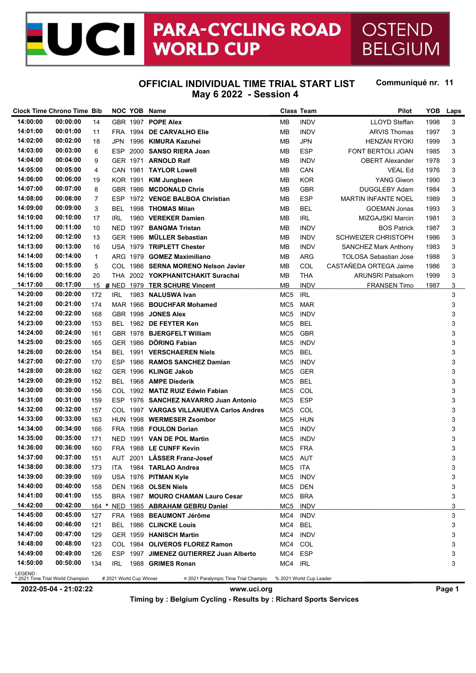#### **PARA-CYCLING ROAD ICI** OSTEND **WORLD CUP BELGIUM**

## **OFFICIAL INDIVIDUAL TIME TRIAL START LIST May 6 2022 - Session 4**

Communiqué nr. 11

| May 6 2022 $-$ Session |  |  |  |  |  |  |
|------------------------|--|--|--|--|--|--|
|------------------------|--|--|--|--|--|--|

|          | <b>Clock Time Chrono Time Bib</b> |              |                         |          | NOC YOB Name                             |                 | <b>Class Team</b>       | <b>Pilot</b>                | YOB  | Laps |
|----------|-----------------------------------|--------------|-------------------------|----------|------------------------------------------|-----------------|-------------------------|-----------------------------|------|------|
| 14:00:00 | 00:00:00                          | 14           |                         |          | GBR 1997 POPE Alex                       | MВ              | <b>INDV</b>             | <b>LLOYD Steffan</b>        | 1998 | 3    |
| 14:01:00 | 00:01:00                          | 11           |                         |          | FRA 1994 DE CARVALHO Elie                | MВ              | <b>INDV</b>             | <b>ARVIS Thomas</b>         | 1997 | 3    |
| 14:02:00 | 00:02:00                          | 18           | JPN                     |          | 1996 KIMURA Kazuhei                      | MВ              | <b>JPN</b>              | <b>HENZAN RYOKI</b>         | 1999 | 3    |
| 14:03:00 | 00:03:00                          | 6            | ESP.                    |          | 2000 SANSO RIERA Joan                    | MВ              | <b>ESP</b>              | FONT BERTOLI JOAN           | 1985 | 3    |
| 14:04:00 | 00:04:00                          | 9            |                         | GER 1971 | <b>ARNOLD Ralf</b>                       | MВ              | <b>INDV</b>             | <b>OBERT Alexander</b>      | 1978 | 3    |
| 14:05:00 | 00:05:00                          | 4            |                         | CAN 1981 | <b>TAYLOR Lowell</b>                     | MВ              | CAN                     | <b>VEAL Ed</b>              | 1976 | 3    |
| 14:06:00 | 00:06:00                          | 19           |                         | KOR 1991 | <b>KIM Jungbeen</b>                      | MВ              | <b>KOR</b>              | <b>YANG Giwon</b>           | 1990 | 3    |
| 14:07:00 | 00:07:00                          | 8            |                         |          | GBR 1986 MCDONALD Chris                  | MВ              | <b>GBR</b>              | <b>DUGGLEBY Adam</b>        | 1984 | 3    |
| 14:08:00 | 00:08:00                          | 7            | ESP.                    |          | 1972 VENGE BALBOA Christian              | MВ              | <b>ESP</b>              | <b>MARTIN INFANTE NOEL</b>  | 1989 | 3    |
| 14:09:00 | 00:09:00                          | 3            | BEL                     |          | 1998 THOMAS Milan                        | MВ              | <b>BEL</b>              | <b>GOEMAN Jonas</b>         | 1993 | 3    |
| 14:10:00 | 00:10:00                          | 17           | IRL                     |          | 1980 VEREKER Damien                      | MВ              | <b>IRL</b>              | MIZGAJSKI Marcin            | 1981 | 3    |
| 14:11:00 | 00:11:00                          | 10           |                         | NED 1997 | <b>BANGMA Tristan</b>                    | MВ              | <b>INDV</b>             | <b>BOS Patrick</b>          | 1987 | 3    |
| 14:12:00 | 00:12:00                          | 13           |                         |          | GER 1986 MÜLLER Sebastian                | MВ              | <b>INDV</b>             | <b>SCHWEIZER CHRISTOPH</b>  | 1986 | 3    |
| 14:13:00 | 00:13:00                          | 16           |                         |          | USA 1979 TRIPLETT Chester                | MВ              | <b>INDV</b>             | <b>SANCHEZ Mark Anthony</b> | 1983 | 3    |
| 14:14:00 | 00:14:00                          | $\mathbf{1}$ |                         |          | ARG 1979 GOMEZ Maximiliano               | MВ              | ARG                     | TOLOSA Sebastian Jose       | 1988 | 3    |
| 14:15:00 | 00:15:00                          |              |                         |          |                                          |                 |                         |                             |      |      |
|          |                                   | 5            |                         |          | COL 1986 SERNA MORENO Nelson Javier      | MВ              | COL                     | CASTAÑEDA ORTEGA Jaime      | 1986 | 3    |
| 14:16:00 | 00:16:00                          | 20           |                         |          | THA 2002 YOKPHANITCHAKIT Surachai        | MВ              | <b>THA</b>              | <b>ARUNSRI Patsakorn</b>    | 1999 | 3    |
| 14:17:00 | 00:17:00                          |              |                         |          | 15 # NED 1979 TER SCHURE Vincent         | MВ              | <b>INDV</b>             | <b>FRANSEN Timo</b>         | 1987 | 3    |
| 14:20:00 | 00:20:00                          | 172          | IRL                     |          | 1983 NALUSWA Ivan                        | MC <sub>5</sub> | <b>IRL</b>              |                             |      | 3    |
| 14:21:00 | 00:21:00                          | 174          |                         |          | MAR 1966 BOUCHFAR Mohamed                | MC <sub>5</sub> | <b>MAR</b>              |                             |      | 3    |
| 14:22:00 | 00:22:00                          | 168          |                         |          | GBR 1998 JONES Alex                      | MC <sub>5</sub> | <b>INDV</b>             |                             |      | 3    |
| 14:23:00 | 00:23:00                          | 153          |                         |          | BEL 1982 DE FEYTER Ken                   | MC <sub>5</sub> | <b>BEL</b>              |                             |      | 3    |
| 14:24:00 | 00:24:00                          | 161          |                         |          | GBR 1978 BJERGFELT William               | MC <sub>5</sub> | <b>GBR</b>              |                             |      | 3    |
| 14:25:00 | 00:25:00                          | 165          |                         |          | GER 1986 DÖRING Fabian                   | MC <sub>5</sub> | <b>INDV</b>             |                             |      | 3    |
| 14:26:00 | 00:26:00                          | 154          |                         | BEL 1991 | <b>VERSCHAEREN Niels</b>                 | MC5             | BEL                     |                             |      | 3    |
| 14:27:00 | 00:27:00                          | 170          | <b>ESP</b>              |          | 1986 RAMOS SANCHEZ Damian                | MC <sub>5</sub> | <b>INDV</b>             |                             |      | 3    |
| 14:28:00 | 00:28:00                          | 162          |                         |          | GER 1996 KLINGE Jakob                    | MC <sub>5</sub> | <b>GER</b>              |                             |      | 3    |
| 14:29:00 | 00:29:00                          | 152          |                         |          | BEL 1968 AMPE Diederik                   | MC <sub>5</sub> | <b>BEL</b>              |                             |      | 3    |
| 14:30:00 | 00:30:00                          | 156          |                         |          | COL 1992 MATIZ RUIZ Edwin Fabian         | MC5             | COL                     |                             |      | 3    |
| 14:31:00 | 00:31:00                          | 159          |                         |          | ESP 1976 SANCHEZ NAVARRO Juan Antonio    | MC5             | <b>ESP</b>              |                             |      | 3    |
| 14:32:00 | 00:32:00                          | 157          |                         |          | COL 1997 VARGAS VILLANUEVA Carlos Andres | MC <sub>5</sub> | COL                     |                             |      | 3    |
| 14:33:00 | 00:33:00                          | 163          |                         |          | HUN 1998 WERMESER Zsombor                | MC5             | <b>HUN</b>              |                             |      | 3    |
| 14:34:00 | 00:34:00                          | 166          |                         |          | FRA 1998 FOULON Dorian                   | MC <sub>5</sub> | <b>INDV</b>             |                             |      | 3    |
| 14:35:00 | 00:35:00                          | 171          |                         |          | NED 1991 VAN DE POL Martin               | MC <sub>5</sub> | <b>INDV</b>             |                             |      | 3    |
| 14:36:00 | 00:36:00                          | 160          |                         |          | FRA 1988 LE CUNFF Kevin                  | MC <sub>5</sub> | <b>FRA</b>              |                             |      | 3    |
| 14:37:00 | 00:37:00                          | 151          |                         | AUT 2001 | LÄSSER Franz-Josef                       | MC <sub>5</sub> | AUT                     |                             |      | 3    |
| 14:38:00 | 00:38:00                          | 173          | ITA.                    |          | 1984 TARLAO Andrea                       | MC5             | ITA                     |                             |      | 3    |
| 14:39:00 | 00:39:00                          | 169          |                         |          | USA 1976 PITMAN Kyle                     | MC5             | <b>INDV</b>             |                             |      | 3    |
| 14:40:00 | 00:40:00                          | 158          |                         |          | DEN 1968 OLSEN Niels                     | MC5             | DEN                     |                             |      | 3    |
| 14:41:00 | 00:41:00                          | 155          |                         |          | BRA 1987 MOURO CHAMAN Lauro Cesar        | MC5             | <b>BRA</b>              |                             |      | 3    |
| 14:42:00 | 00:42:00                          |              |                         |          | 164 * NED 1985 ABRAHAM GEBRU Daniel      | MC5             | <b>INDV</b>             |                             |      | 3    |
| 14:45:00 | 00:45:00                          | 127          |                         |          | FRA 1988 BEAUMONT Jérôme                 | MC4             | <b>INDV</b>             |                             |      | 3    |
| 14:46:00 | 00:46:00                          | 121          | BEL                     |          | 1986 CLINCKE Louis                       | MC4             | <b>BEL</b>              |                             |      | 3    |
| 14:47:00 | 00:47:00                          | 129          |                         |          | GER 1959 HANISCH Martin                  | MC4             | <b>INDV</b>             |                             |      | 3    |
| 14:48:00 | 00:48:00                          | 123          |                         |          | COL 1984 OLIVEROS FLOREZ Ramon           | MC4             | COL                     |                             |      | 3    |
| 14:49:00 | 00:49:00                          | 126          |                         |          | ESP 1997 JIMENEZ GUTIERREZ Juan Alberto  | MC4             | <b>ESP</b>              |                             |      | 3    |
| 14:50:00 | 00:50:00                          | 134          | <b>IRL</b>              |          | 1988 GRIMES Ronan                        | MC4 IRL         |                         |                             |      | 3    |
| LEGEND:  | * 2021 Time Trial World Champion  |              | # 2021 World Cup Winner |          | ¤ 2021 Paralympic Time Trial Champio     |                 | % 2021 World Cup Leader |                             |      |      |

**2022-05-04 - 21:02:22 www.uci.org Page 1 Timing by : Belgium Cycling - Results by : Richard Sports Services**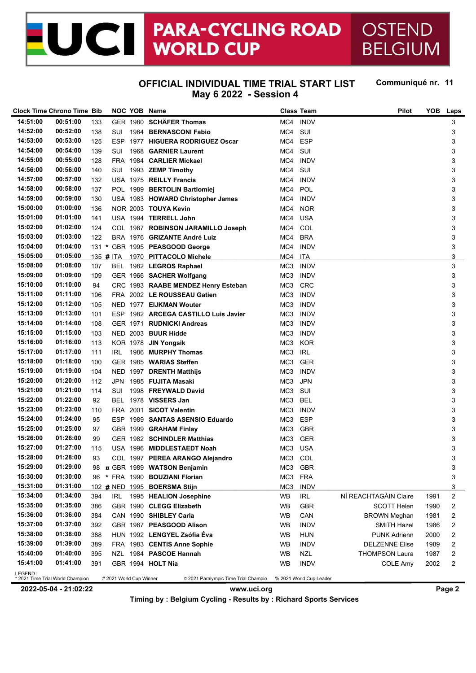#### **PARA-CYCLING ROAD** ICI OSTEND **WORLD CUP BELGIUM**

## **OFFICIAL INDIVIDUAL TIME TRIAL START LIST May 6 2022 - Session 4**

Communiqué nr. 11

|          | <b>Clock Time Chrono Time Bib</b> |     |                         | NOC YOB Name                                                       |                 | <b>Class Team</b>       | Pilot                 | <b>YOB</b> | Laps                    |
|----------|-----------------------------------|-----|-------------------------|--------------------------------------------------------------------|-----------------|-------------------------|-----------------------|------------|-------------------------|
| 14:51:00 | 00:51:00                          | 133 |                         | GER 1980 SCHÄFER Thomas                                            | MC4             | <b>INDV</b>             |                       |            | 3                       |
| 14:52:00 | 00:52:00                          | 138 | SUI                     | 1984 BERNASCONI Fabio                                              | MC4             | SUI                     |                       |            | 3                       |
| 14:53:00 | 00:53:00                          | 125 | <b>ESP</b>              | 1977 HIGUERA RODRIGUEZ Oscar                                       | MC4             | <b>ESP</b>              |                       |            | 3                       |
| 14:54:00 | 00:54:00                          | 139 | SUI                     | 1968 GARNIER Laurent                                               | MC4             | SUI                     |                       |            | 3                       |
| 14:55:00 | 00:55:00                          | 128 | <b>FRA</b>              | 1984 CARLIER Mickael                                               | MC4             | <b>INDV</b>             |                       |            | 3                       |
| 14:56:00 | 00:56:00                          | 140 | SUI                     | 1993 ZEMP Timothy                                                  | MC4             | SUI                     |                       |            | 3                       |
| 14:57:00 | 00:57:00                          | 132 |                         | USA 1975 REILLY Francis                                            | MC4             | <b>INDV</b>             |                       |            | 3                       |
| 14:58:00 | 00:58:00                          | 137 |                         | POL 1989 BERTOLIN Bartlomiei                                       | MC4             | POL                     |                       |            | 3                       |
| 14:59:00 | 00:59:00                          | 130 |                         | USA 1983 HOWARD Christopher James                                  | MC4             | <b>INDV</b>             |                       |            | 3                       |
| 15:00:00 | 01:00:00                          | 136 |                         | NOR 2003 TOUYA Kevin                                               | MC4             | <b>NOR</b>              |                       |            | 3                       |
| 15:01:00 | 01:01:00                          | 141 |                         | USA 1994 TERRELL John                                              | MC4             | <b>USA</b>              |                       |            | 3                       |
| 15:02:00 | 01:02:00                          | 124 |                         | COL 1987 ROBINSON JARAMILLO Joseph                                 | MC4             | COL                     |                       |            | 3                       |
| 15:03:00 | 01:03:00                          | 122 |                         | BRA 1976 GRIZANTE André Luiz                                       | MC4             | <b>BRA</b>              |                       |            | 3                       |
| 15:04:00 | 01:04:00                          |     |                         | 131 * GBR 1995 PEASGOOD George                                     | MC4             | <b>INDV</b>             |                       |            | 3                       |
| 15:05:00 | 01:05:00                          |     |                         | 135 # ITA 1970 PITTACOLO Michele                                   | MC4             | ITA                     |                       |            | 3                       |
| 15:08:00 | 01:08:00                          | 107 |                         | BEL 1982 LEGROS Raphael                                            | MC3             | <b>INDV</b>             |                       |            | 3                       |
| 15:09:00 | 01:09:00                          | 109 |                         | GER 1966 SACHER Wolfgang                                           | MC <sub>3</sub> | <b>INDV</b>             |                       |            | 3                       |
| 15:10:00 | 01:10:00                          | 94  |                         |                                                                    | MC3             | <b>CRC</b>              |                       |            | 3                       |
| 15:11:00 | 01:11:00                          | 106 |                         | CRC 1983 RAABE MENDEZ Henry Esteban<br>FRA 2002 LE ROUSSEAU Gatien | MC3             | <b>INDV</b>             |                       |            | 3                       |
| 15:12:00 | 01:12:00                          |     |                         |                                                                    |                 | <b>INDV</b>             |                       |            |                         |
|          |                                   | 105 |                         | NED 1977 EIJKMAN Wouter                                            | MC3             |                         |                       |            | 3                       |
| 15:13:00 | 01:13:00                          | 101 |                         | ESP 1982 ARCEGA CASTILLO Luis Javier                               | MC3             | <b>INDV</b>             |                       |            | 3                       |
| 15:14:00 | 01:14:00                          | 108 |                         | GER 1971 RUDNICKI Andreas                                          | MC <sub>3</sub> | <b>INDV</b>             |                       |            | 3                       |
| 15:15:00 | 01:15:00                          | 103 |                         | NED 2003 BUUR Hidde                                                | MC <sub>3</sub> | <b>INDV</b>             |                       |            | 3                       |
| 15:16:00 | 01:16:00                          | 113 |                         | KOR 1978 JIN Yongsik                                               | MC <sub>3</sub> | <b>KOR</b>              |                       |            | 3                       |
| 15:17:00 | 01:17:00                          | 111 | IRL.                    | 1986 MURPHY Thomas                                                 | MC <sub>3</sub> | <b>IRL</b>              |                       |            | 3                       |
| 15:18:00 | 01:18:00                          | 100 |                         | GER 1985 WARIAS Steffen                                            | MC <sub>3</sub> | <b>GER</b>              |                       |            | 3                       |
| 15:19:00 | 01:19:00                          | 104 |                         | NED 1997 DRENTH Matthijs                                           | MC <sub>3</sub> | <b>INDV</b>             |                       |            | 3                       |
| 15:20:00 | 01:20:00                          | 112 | JPN                     | 1985 FUJITA Masaki                                                 | MC <sub>3</sub> | <b>JPN</b>              |                       |            | 3                       |
| 15:21:00 | 01:21:00                          | 114 | SUI                     | 1998 FREYWALD David                                                | MC <sub>3</sub> | SUI                     |                       |            | 3                       |
| 15:22:00 | 01:22:00                          | 92  | BEL                     | 1978 VISSERS Jan                                                   | MC <sub>3</sub> | <b>BEL</b>              |                       |            | 3                       |
| 15:23:00 | 01:23:00                          | 110 |                         | FRA 2001 SICOT Valentin                                            | MC <sub>3</sub> | <b>INDV</b>             |                       |            | 3                       |
| 15:24:00 | 01:24:00                          | 95  | ESP                     | 1989 SANTAS ASENSIO Eduardo                                        | MC3             | <b>ESP</b>              |                       |            | 3                       |
| 15:25:00 | 01:25:00                          | 97  |                         | GBR 1999 GRAHAM Finlay                                             | MC3             | <b>GBR</b>              |                       |            | 3                       |
| 15:26:00 | 01:26:00                          | 99  |                         | GER 1982 SCHINDLER Matthias                                        | MC <sub>3</sub> | <b>GER</b>              |                       |            | 3                       |
| 15:27:00 | 01:27:00                          | 115 |                         | USA 1996 MIDDLESTAEDT Noah                                         | MC <sub>3</sub> | <b>USA</b>              |                       |            | 3                       |
| 15:28:00 | 01:28:00                          | 93  |                         | COL 1997 PEREA ARANGO Alejandro                                    | MC <sub>3</sub> | COL                     |                       |            | 3                       |
| 15:29:00 | 01:29:00                          | 98  |                         | g GBR 1989 WATSON Benjamin                                         | MC3             | <b>GBR</b>              |                       |            | 3                       |
| 15:30:00 | 01:30:00                          | 96  |                         | * FRA 1990 BOUZIANI Florian                                        | MC <sub>3</sub> | <b>FRA</b>              |                       |            | 3                       |
| 15:31:00 | 01:31:00                          |     |                         | 102 # NED 1995 BOERSMA Stijn                                       | MC <sub>3</sub> | <b>INDV</b>             |                       |            | 3                       |
| 15:34:00 | 01:34:00                          | 394 | IRL                     | 1995 HEALION Josephine                                             | WB              | <b>IRL</b>              | NÍ REACHTAGÁIN Claire | 1991       | 2                       |
| 15:35:00 | 01:35:00                          | 386 |                         | GBR 1990 CLEGG Elizabeth                                           | WB              | <b>GBR</b>              | <b>SCOTT Helen</b>    | 1990       | $\overline{\mathbf{c}}$ |
| 15:36:00 | 01:36:00                          | 384 |                         | CAN 1990 SHIBLEY Carla                                             | WB              | CAN                     | <b>BROWN Meghan</b>   | 1981       | 2                       |
| 15:37:00 | 01:37:00                          | 392 |                         | GBR 1987 PEASGOOD Alison                                           | WB              | <b>INDV</b>             | <b>SMITH Hazel</b>    | 1986       | 2                       |
| 15:38:00 | 01:38:00                          | 388 |                         | HUN 1992 LENGYEL Zsófia Éva                                        | WB              | <b>HUN</b>              | <b>PUNK Adrienn</b>   | 2000       | 2                       |
| 15:39:00 | 01:39:00                          | 389 |                         | FRA 1983 CENTIS Anne Sophie                                        | WB              | <b>INDV</b>             | <b>DELZENNE Elise</b> | 1989       | $\overline{\mathbf{c}}$ |
| 15:40:00 | 01:40:00                          | 395 |                         | NZL 1984 PASCOE Hannah                                             | WB              | NZL                     | <b>THOMPSON Laura</b> | 1987       | 2                       |
| 15:41:00 | 01:41:00                          | 391 |                         | GBR 1994 HOLT Nia                                                  | WB              | <b>INDV</b>             | <b>COLE Amy</b>       | 2002       | 2                       |
| LEGEND:  | * 2021 Time Trial World Champion  |     | # 2021 World Cup Winner | ¤ 2021 Paralympic Time Trial Champio                               |                 | % 2021 World Cup Leader |                       |            |                         |

**2022-05-04 - 21:02:22 www.uci.org Page 2**

**Timing by : Belgium Cycling - Results by : Richard Sports Services**